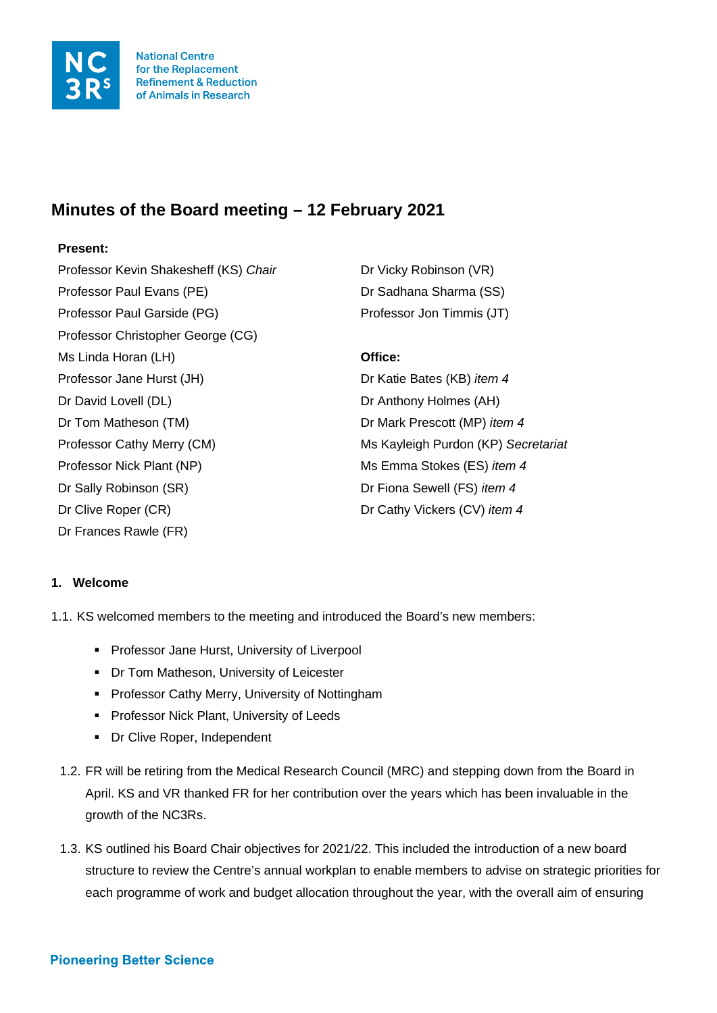

# **Minutes of the Board meeting – 12 February 2021**

# **Present:**

Professor Kevin Shakesheff (KS) *Chair* Dr Vicky Robinson (VR) Professor Paul Evans (PE) Dr Sadhana Sharma (SS) Professor Paul Garside (PG) entitled and professor Jon Timmis (JT) Professor Christopher George (CG) Ms Linda Horan (LH) **Office:** Professor Jane Hurst (JH) Dr Katie Bates (KB) *item 4* Dr David Lovell (DL) Dr Anthony Holmes (AH) Dr Tom Matheson (TM) Dr Mark Prescott (MP) *item 4* Professor Cathy Merry (CM) Ms Kayleigh Purdon (KP) *Secretariat* Professor Nick Plant (NP) Ms Emma Stokes (ES) *item 4* Dr Sally Robinson (SR) Dr Fiona Sewell (FS) *item 4* Dr Clive Roper (CR) Dr Cathy Vickers (CV) *item 4* Dr Frances Rawle (FR)

# **1. Welcome**

1.1. KS welcomed members to the meeting and introduced the Board's new members:

- **Professor Jane Hurst, University of Liverpool**
- **Dr Tom Matheson, University of Leicester**
- **Professor Cathy Merry, University of Nottingham**
- **Professor Nick Plant, University of Leeds**
- **•** Dr Clive Roper, Independent
- 1.2. FR will be retiring from the Medical Research Council (MRC) and stepping down from the Board in April. KS and VR thanked FR for her contribution over the years which has been invaluable in the growth of the NC3Rs.
- 1.3. KS outlined his Board Chair objectives for 2021/22. This included the introduction of a new board structure to review the Centre's annual workplan to enable members to advise on strategic priorities for each programme of work and budget allocation throughout the year, with the overall aim of ensuring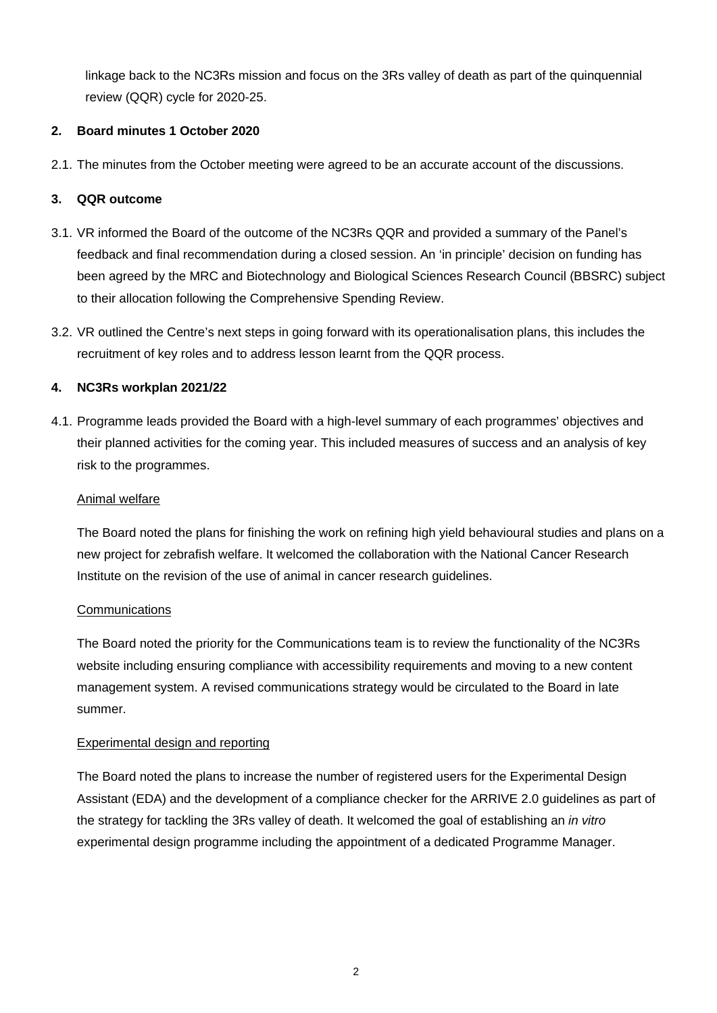linkage back to the NC3Rs mission and focus on the 3Rs valley of death as part of the quinquennial review (QQR) cycle for 2020-25.

# **2. Board minutes 1 October 2020**

2.1. The minutes from the October meeting were agreed to be an accurate account of the discussions.

# **3. QQR outcome**

- 3.1. VR informed the Board of the outcome of the NC3Rs QQR and provided a summary of the Panel's feedback and final recommendation during a closed session. An 'in principle' decision on funding has been agreed by the MRC and Biotechnology and Biological Sciences Research Council (BBSRC) subject to their allocation following the Comprehensive Spending Review.
- 3.2. VR outlined the Centre's next steps in going forward with its operationalisation plans, this includes the recruitment of key roles and to address lesson learnt from the QQR process.

# **4. NC3Rs workplan 2021/22**

4.1. Programme leads provided the Board with a high-level summary of each programmes' objectives and their planned activities for the coming year. This included measures of success and an analysis of key risk to the programmes.

#### Animal welfare

The Board noted the plans for finishing the work on refining high yield behavioural studies and plans on a new project for zebrafish welfare. It welcomed the collaboration with the National Cancer Research Institute on the revision of the use of animal in cancer research guidelines.

#### **Communications**

The Board noted the priority for the Communications team is to review the functionality of the NC3Rs website including ensuring compliance with accessibility requirements and moving to a new content management system. A revised communications strategy would be circulated to the Board in late summer.

#### Experimental design and reporting

The Board noted the plans to increase the number of registered users for the Experimental Design Assistant (EDA) and the development of a compliance checker for the ARRIVE 2.0 guidelines as part of the strategy for tackling the 3Rs valley of death. It welcomed the goal of establishing an *in vitro*  experimental design programme including the appointment of a dedicated Programme Manager.